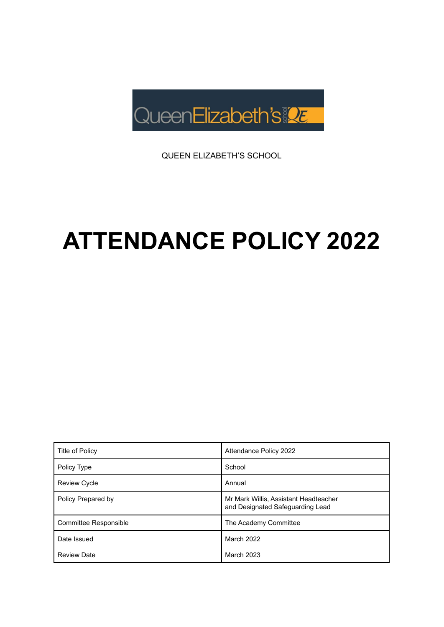

QUEEN ELIZABETH'S SCHOOL

# **ATTENDANCE POLICY 2022**

| Title of Policy       | Attendance Policy 2022                                                    |
|-----------------------|---------------------------------------------------------------------------|
| Policy Type           | School                                                                    |
| <b>Review Cycle</b>   | Annual                                                                    |
| Policy Prepared by    | Mr Mark Willis, Assistant Headteacher<br>and Designated Safeguarding Lead |
| Committee Responsible | The Academy Committee                                                     |
| Date Issued           | <b>March 2022</b>                                                         |
| <b>Review Date</b>    | <b>March 2023</b>                                                         |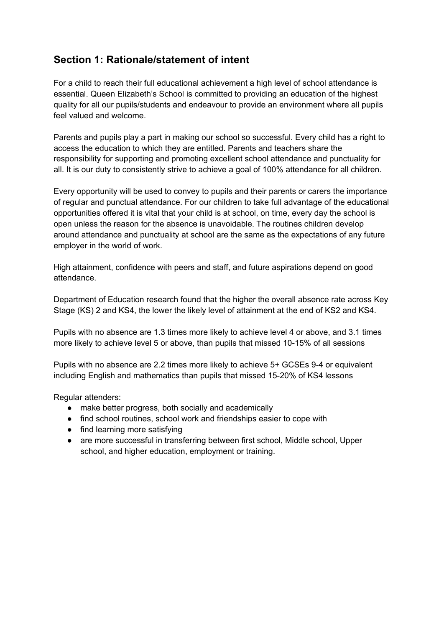# **Section 1: Rationale/statement of intent**

For a child to reach their full educational achievement a high level of school attendance is essential. Queen Elizabeth's School is committed to providing an education of the highest quality for all our pupils/students and endeavour to provide an environment where all pupils feel valued and welcome.

Parents and pupils play a part in making our school so successful. Every child has a right to access the education to which they are entitled. Parents and teachers share the responsibility for supporting and promoting excellent school attendance and punctuality for all. It is our duty to consistently strive to achieve a goal of 100% attendance for all children.

Every opportunity will be used to convey to pupils and their parents or carers the importance of regular and punctual attendance. For our children to take full advantage of the educational opportunities offered it is vital that your child is at school, on time, every day the school is open unless the reason for the absence is unavoidable. The routines children develop around attendance and punctuality at school are the same as the expectations of any future employer in the world of work.

High attainment, confidence with peers and staff, and future aspirations depend on good attendance.

Department of Education research found that the higher the overall absence rate across Key Stage (KS) 2 and KS4, the lower the likely level of attainment at the end of KS2 and KS4.

Pupils with no absence are 1.3 times more likely to achieve level 4 or above, and 3.1 times more likely to achieve level 5 or above, than pupils that missed 10-15% of all sessions

Pupils with no absence are 2.2 times more likely to achieve 5+ GCSEs 9-4 or equivalent including English and mathematics than pupils that missed 15-20% of KS4 lessons

Regular attenders:

- make better progress, both socially and academically
- find school routines, school work and friendships easier to cope with
- find learning more satisfying
- are more successful in transferring between first school, Middle school, Upper school, and higher education, employment or training.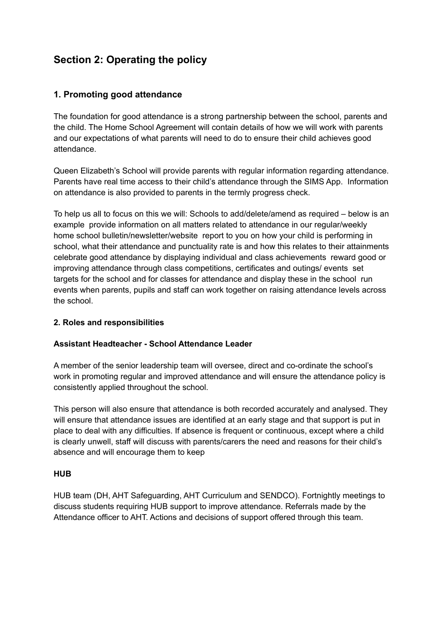# **Section 2: Operating the policy**

# **1. Promoting good attendance**

The foundation for good attendance is a strong partnership between the school, parents and the child. The Home School Agreement will contain details of how we will work with parents and our expectations of what parents will need to do to ensure their child achieves good attendance.

Queen Elizabeth's School will provide parents with regular information regarding attendance. Parents have real time access to their child's attendance through the SIMS App. Information on attendance is also provided to parents in the termly progress check.

To help us all to focus on this we will: Schools to add/delete/amend as required – below is an example provide information on all matters related to attendance in our regular/weekly home school bulletin/newsletter/website report to you on how your child is performing in school, what their attendance and punctuality rate is and how this relates to their attainments celebrate good attendance by displaying individual and class achievements reward good or improving attendance through class competitions, certificates and outings/ events set targets for the school and for classes for attendance and display these in the school run events when parents, pupils and staff can work together on raising attendance levels across the school.

# **2. Roles and responsibilities**

# **Assistant Headteacher - School Attendance Leader**

A member of the senior leadership team will oversee, direct and co-ordinate the school's work in promoting regular and improved attendance and will ensure the attendance policy is consistently applied throughout the school.

This person will also ensure that attendance is both recorded accurately and analysed. They will ensure that attendance issues are identified at an early stage and that support is put in place to deal with any difficulties. If absence is frequent or continuous, except where a child is clearly unwell, staff will discuss with parents/carers the need and reasons for their child's absence and will encourage them to keep

#### **HUB**

HUB team (DH, AHT Safeguarding, AHT Curriculum and SENDCO). Fortnightly meetings to discuss students requiring HUB support to improve attendance. Referrals made by the Attendance officer to AHT. Actions and decisions of support offered through this team.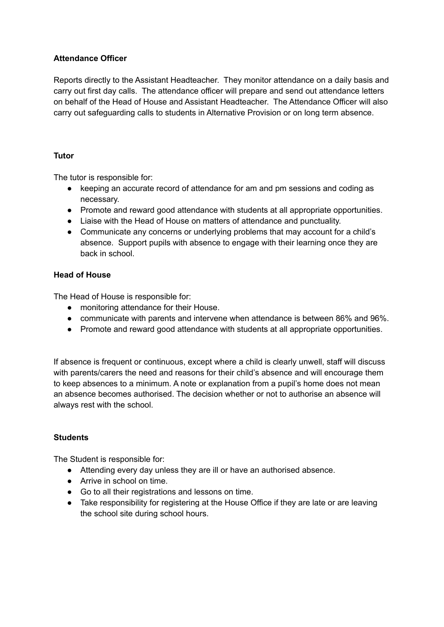# **Attendance Officer**

Reports directly to the Assistant Headteacher. They monitor attendance on a daily basis and carry out first day calls. The attendance officer will prepare and send out attendance letters on behalf of the Head of House and Assistant Headteacher. The Attendance Officer will also carry out safeguarding calls to students in Alternative Provision or on long term absence.

## **Tutor**

The tutor is responsible for:

- keeping an accurate record of attendance for am and pm sessions and coding as necessary.
- Promote and reward good attendance with students at all appropriate opportunities.
- Liaise with the Head of House on matters of attendance and punctuality.
- Communicate any concerns or underlying problems that may account for a child's absence. Support pupils with absence to engage with their learning once they are back in school.

# **Head of House**

The Head of House is responsible for:

- monitoring attendance for their House.
- communicate with parents and intervene when attendance is between 86% and 96%.
- Promote and reward good attendance with students at all appropriate opportunities.

If absence is frequent or continuous, except where a child is clearly unwell, staff will discuss with parents/carers the need and reasons for their child's absence and will encourage them to keep absences to a minimum. A note or explanation from a pupil's home does not mean an absence becomes authorised. The decision whether or not to authorise an absence will always rest with the school.

#### **Students**

The Student is responsible for:

- Attending every day unless they are ill or have an authorised absence.
- Arrive in school on time.
- Go to all their registrations and lessons on time.
- Take responsibility for registering at the House Office if they are late or are leaving the school site during school hours.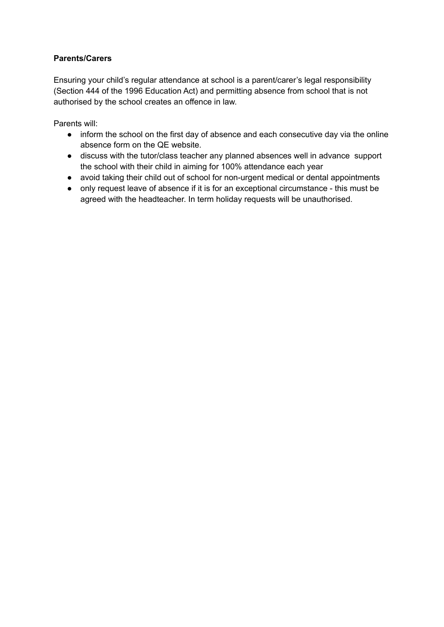# **Parents/Carers**

Ensuring your child's regular attendance at school is a parent/carer's legal responsibility (Section 444 of the 1996 Education Act) and permitting absence from school that is not authorised by the school creates an offence in law.

Parents will:

- inform the school on the first day of absence and each consecutive day via the online absence form on the QE website.
- discuss with the tutor/class teacher any planned absences well in advance support the school with their child in aiming for 100% attendance each year
- avoid taking their child out of school for non-urgent medical or dental appointments
- only request leave of absence if it is for an exceptional circumstance this must be agreed with the headteacher. In term holiday requests will be unauthorised.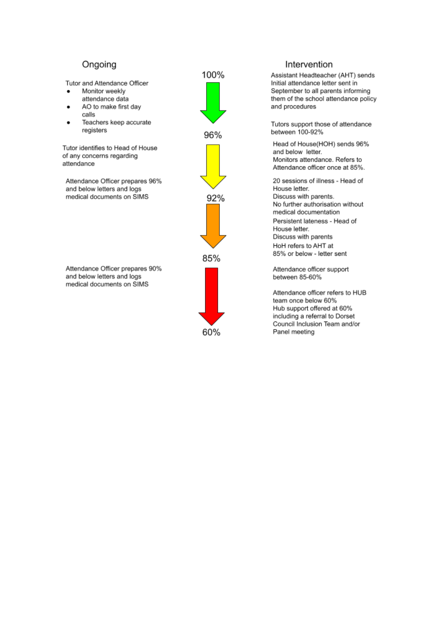# Ongoing

Tutor and Attendance Officer

- Monitor weekly attendance data
- AO to make first day calls
- Teachers keep accurate  $\bullet$ registers

Tutor identifies to Head of House of any concerns regarding attendance

Attendance Officer prepares 96% and below letters and logs medical documents on SIMS

Attendance Officer prepares 90% and below letters and logs medical documents on SIMS



#### Intervention

Assistant Headteacher (AHT) sends Initial attendance letter sent in September to all parents informing them of the school attendance policy and procedures

Tutors support those of attendance between 100-92%

Head of House(HOH) sends 96% and below letter. Monitors attendance. Refers to Attendance officer once at 85%.

20 sessions of illness - Head of House letter. Discuss with parents. No further authorisation without medical documentation Persistent lateness - Head of House letter. Discuss with parents HoH refers to AHT at 85% or below - letter sent

Attendance officer support between 85-60%

Attendance officer refers to HUB team once below 60% Hub support offered at 60% including a referral to Dorset Council Inclusion Team and/or Panel meeting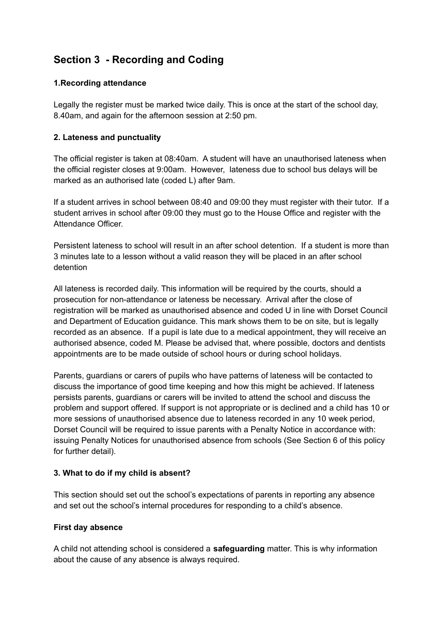# **Section 3 - Recording and Coding**

# **1.Recording attendance**

Legally the register must be marked twice daily. This is once at the start of the school day, 8.40am, and again for the afternoon session at 2:50 pm.

# **2. Lateness and punctuality**

The official register is taken at 08:40am. A student will have an unauthorised lateness when the official register closes at 9:00am. However, lateness due to school bus delays will be marked as an authorised late (coded L) after 9am.

If a student arrives in school between 08:40 and 09:00 they must register with their tutor. If a student arrives in school after 09:00 they must go to the House Office and register with the Attendance Officer.

Persistent lateness to school will result in an after school detention. If a student is more than 3 minutes late to a lesson without a valid reason they will be placed in an after school detention

All lateness is recorded daily. This information will be required by the courts, should a prosecution for non-attendance or lateness be necessary. Arrival after the close of registration will be marked as unauthorised absence and coded U in line with Dorset Council and Department of Education guidance. This mark shows them to be on site, but is legally recorded as an absence. If a pupil is late due to a medical appointment, they will receive an authorised absence, coded M. Please be advised that, where possible, doctors and dentists appointments are to be made outside of school hours or during school holidays.

Parents, guardians or carers of pupils who have patterns of lateness will be contacted to discuss the importance of good time keeping and how this might be achieved. If lateness persists parents, guardians or carers will be invited to attend the school and discuss the problem and support offered. If support is not appropriate or is declined and a child has 10 or more sessions of unauthorised absence due to lateness recorded in any 10 week period, Dorset Council will be required to issue parents with a Penalty Notice in accordance with: issuing Penalty Notices for unauthorised absence from schools (See Section 6 of this policy for further detail).

#### **3. What to do if my child is absent?**

This section should set out the school's expectations of parents in reporting any absence and set out the school's internal procedures for responding to a child's absence.

#### **First day absence**

A child not attending school is considered a **safeguarding** matter. This is why information about the cause of any absence is always required.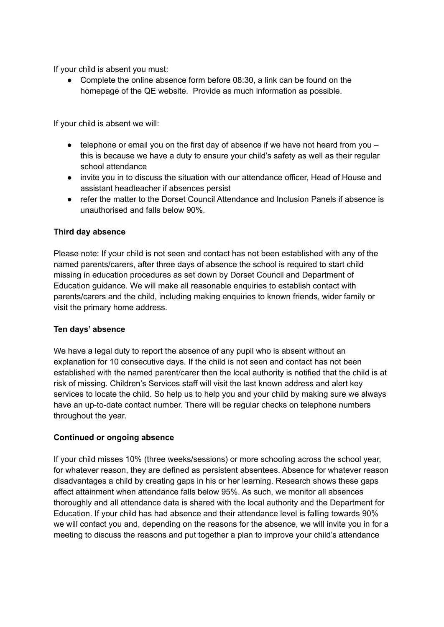If your child is absent you must:

• Complete the online absence form before 08:30, a link can be found on the homepage of the QE website. Provide as much information as possible.

If your child is absent we will:

- $\bullet$  telephone or email you on the first day of absence if we have not heard from you this is because we have a duty to ensure your child's safety as well as their regular school attendance
- invite you in to discuss the situation with our attendance officer, Head of House and assistant headteacher if absences persist
- refer the matter to the Dorset Council Attendance and Inclusion Panels if absence is unauthorised and falls below 90%.

## **Third day absence**

Please note: If your child is not seen and contact has not been established with any of the named parents/carers, after three days of absence the school is required to start child missing in education procedures as set down by Dorset Council and Department of Education guidance. We will make all reasonable enquiries to establish contact with parents/carers and the child, including making enquiries to known friends, wider family or visit the primary home address.

#### **Ten days' absence**

We have a legal duty to report the absence of any pupil who is absent without an explanation for 10 consecutive days. If the child is not seen and contact has not been established with the named parent/carer then the local authority is notified that the child is at risk of missing. Children's Services staff will visit the last known address and alert key services to locate the child. So help us to help you and your child by making sure we always have an up-to-date contact number. There will be regular checks on telephone numbers throughout the year.

#### **Continued or ongoing absence**

If your child misses 10% (three weeks/sessions) or more schooling across the school year, for whatever reason, they are defined as persistent absentees. Absence for whatever reason disadvantages a child by creating gaps in his or her learning. Research shows these gaps affect attainment when attendance falls below 95%. As such, we monitor all absences thoroughly and all attendance data is shared with the local authority and the Department for Education. If your child has had absence and their attendance level is falling towards 90% we will contact you and, depending on the reasons for the absence, we will invite you in for a meeting to discuss the reasons and put together a plan to improve your child's attendance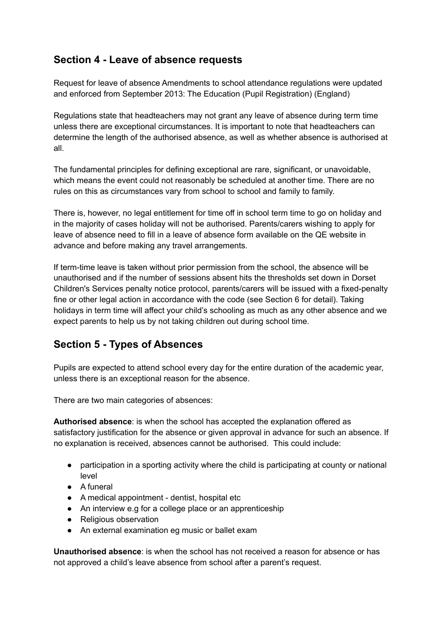# **Section 4 - Leave of absence requests**

Request for leave of absence Amendments to school attendance regulations were updated and enforced from September 2013: The Education (Pupil Registration) (England)

Regulations state that headteachers may not grant any leave of absence during term time unless there are exceptional circumstances. It is important to note that headteachers can determine the length of the authorised absence, as well as whether absence is authorised at all.

The fundamental principles for defining exceptional are rare, significant, or unavoidable, which means the event could not reasonably be scheduled at another time. There are no rules on this as circumstances vary from school to school and family to family.

There is, however, no legal entitlement for time off in school term time to go on holiday and in the majority of cases holiday will not be authorised. Parents/carers wishing to apply for leave of absence need to fill in a leave of absence form available on the QE website in advance and before making any travel arrangements.

If term-time leave is taken without prior permission from the school, the absence will be unauthorised and if the number of sessions absent hits the thresholds set down in Dorset Children's Services penalty notice protocol, parents/carers will be issued with a fixed-penalty fine or other legal action in accordance with the code (see Section 6 for detail). Taking holidays in term time will affect your child's schooling as much as any other absence and we expect parents to help us by not taking children out during school time.

# **Section 5 - Types of Absences**

Pupils are expected to attend school every day for the entire duration of the academic year, unless there is an exceptional reason for the absence.

There are two main categories of absences:

**Authorised absence**: is when the school has accepted the explanation offered as satisfactory justification for the absence or given approval in advance for such an absence. If no explanation is received, absences cannot be authorised. This could include:

- participation in a sporting activity where the child is participating at county or national level
- A funeral
- A medical appointment dentist, hospital etc
- An interview e.g for a college place or an apprenticeship
- Religious observation
- An external examination eg music or ballet exam

**Unauthorised absence**: is when the school has not received a reason for absence or has not approved a child's leave absence from school after a parent's request.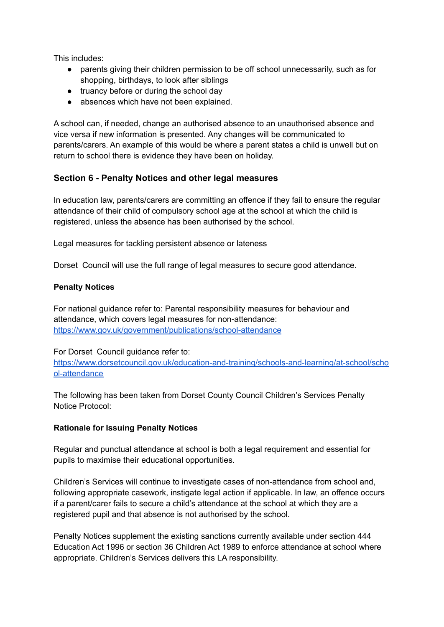This includes:

- parents giving their children permission to be off school unnecessarily, such as for shopping, birthdays, to look after siblings
- truancy before or during the school day
- absences which have not been explained.

A school can, if needed, change an authorised absence to an unauthorised absence and vice versa if new information is presented. Any changes will be communicated to parents/carers. An example of this would be where a parent states a child is unwell but on return to school there is evidence they have been on holiday.

# **Section 6 - Penalty Notices and other legal measures**

In education law, parents/carers are committing an offence if they fail to ensure the regular attendance of their child of compulsory school age at the school at which the child is registered, unless the absence has been authorised by the school.

Legal measures for tackling persistent absence or lateness

Dorset Council will use the full range of legal measures to secure good attendance.

## **Penalty Notices**

For national guidance refer to: Parental responsibility measures for behaviour and attendance, which covers legal measures for non-attendance: <https://www.gov.uk/government/publications/school-attendance>

For Dorset Council guidance refer to:

[https://www.dorsetcouncil.gov.uk/education-and-training/schools-and-learning/at-school/scho](https://www.dorsetcouncil.gov.uk/education-and-training/schools-and-learning/at-school/school-attendance) [ol-attendance](https://www.dorsetcouncil.gov.uk/education-and-training/schools-and-learning/at-school/school-attendance)

The following has been taken from Dorset County Council Children's Services Penalty Notice Protocol:

# **Rationale for Issuing Penalty Notices**

Regular and punctual attendance at school is both a legal requirement and essential for pupils to maximise their educational opportunities.

Children's Services will continue to investigate cases of non-attendance from school and, following appropriate casework, instigate legal action if applicable. In law, an offence occurs if a parent/carer fails to secure a child's attendance at the school at which they are a registered pupil and that absence is not authorised by the school.

Penalty Notices supplement the existing sanctions currently available under section 444 Education Act 1996 or section 36 Children Act 1989 to enforce attendance at school where appropriate. Children's Services delivers this LA responsibility.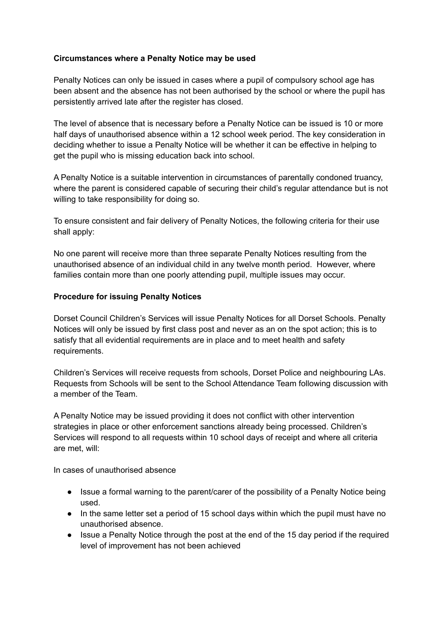## **Circumstances where a Penalty Notice may be used**

Penalty Notices can only be issued in cases where a pupil of compulsory school age has been absent and the absence has not been authorised by the school or where the pupil has persistently arrived late after the register has closed.

The level of absence that is necessary before a Penalty Notice can be issued is 10 or more half days of unauthorised absence within a 12 school week period. The key consideration in deciding whether to issue a Penalty Notice will be whether it can be effective in helping to get the pupil who is missing education back into school.

A Penalty Notice is a suitable intervention in circumstances of parentally condoned truancy, where the parent is considered capable of securing their child's regular attendance but is not willing to take responsibility for doing so.

To ensure consistent and fair delivery of Penalty Notices, the following criteria for their use shall apply:

No one parent will receive more than three separate Penalty Notices resulting from the unauthorised absence of an individual child in any twelve month period. However, where families contain more than one poorly attending pupil, multiple issues may occur.

## **Procedure for issuing Penalty Notices**

Dorset Council Children's Services will issue Penalty Notices for all Dorset Schools. Penalty Notices will only be issued by first class post and never as an on the spot action; this is to satisfy that all evidential requirements are in place and to meet health and safety requirements.

Children's Services will receive requests from schools, Dorset Police and neighbouring LAs. Requests from Schools will be sent to the School Attendance Team following discussion with a member of the Team.

A Penalty Notice may be issued providing it does not conflict with other intervention strategies in place or other enforcement sanctions already being processed. Children's Services will respond to all requests within 10 school days of receipt and where all criteria are met, will:

In cases of unauthorised absence

- Issue a formal warning to the parent/carer of the possibility of a Penalty Notice being used.
- In the same letter set a period of 15 school days within which the pupil must have no unauthorised absence.
- Issue a Penalty Notice through the post at the end of the 15 day period if the required level of improvement has not been achieved